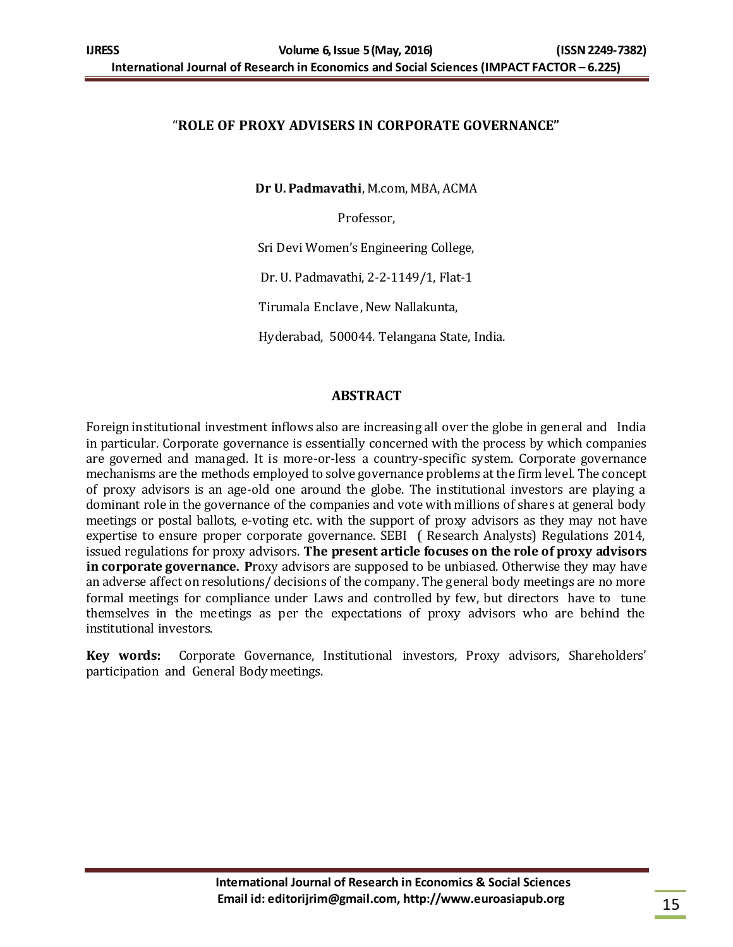## "**ROLE OF PROXY ADVISERS IN CORPORATE GOVERNANCE"**

**Dr U. Padmavathi**, M.com, MBA, ACMA

Professor,

Sri Devi Women's Engineering College,

Dr. U. Padmavathi, 2-2-1149/1, Flat-1

Tirumala Enclave , New Nallakunta,

Hyderabad, 500044. Telangana State, India.

## **ABSTRACT**

Foreign institutional investment inflows also are increasing all over the globe in general and India in particular. Corporate governance is essentially concerned with the process by which companies are governed and managed. It is more-or-less a country-specific system. Corporate governance mechanisms are the methods employed to solve governance problems at the firm level. The concept of proxy advisors is an age-old one around the globe. The institutional investors are playing a dominant role in the governance of the companies and vote with millions of shares at general body meetings or postal ballots, e-voting etc. with the support of proxy advisors as they may not have expertise to ensure proper corporate governance. SEBI ( Research Analysts) Regulations 2014, issued regulations for proxy advisors. **The present article focuses on the role of proxy advisors in corporate governance. P**roxy advisors are supposed to be unbiased. Otherwise they may have an adverse affect on resolutions/ decisions of the company. The general body meetings are no more formal meetings for compliance under Laws and controlled by few, but directors have to tune themselves in the meetings as per the expectations of proxy advisors who are behind the institutional investors.

**Key words:** Corporate Governance, Institutional investors, Proxy advisors, Shareholders' participation and General Body meetings.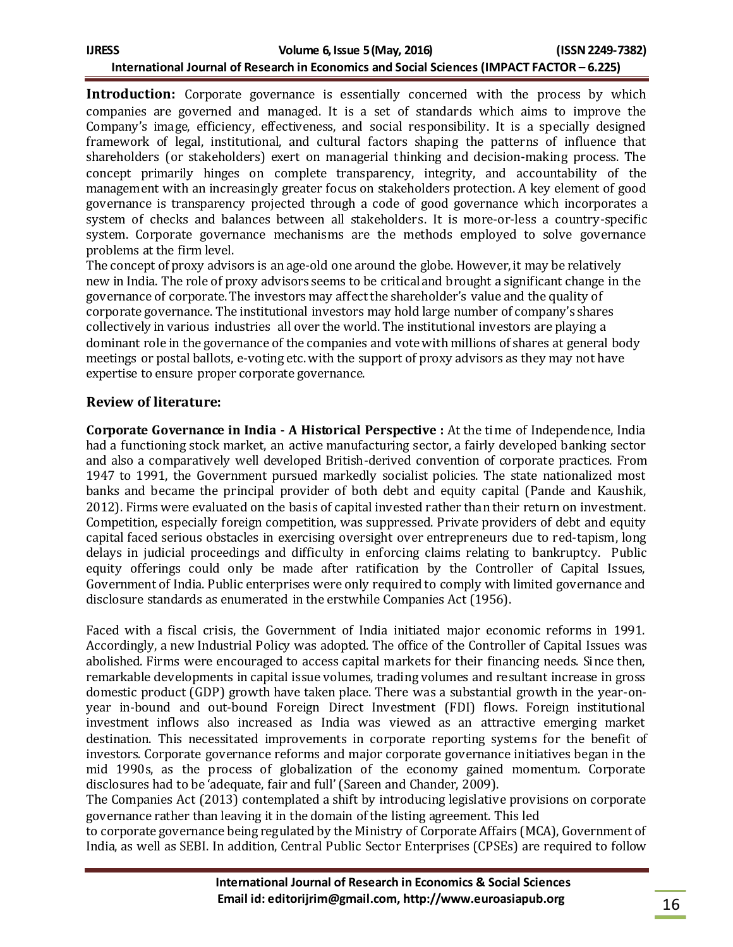| IJRESS                                                                                     | Volume 6, Issue 5 (May, 2016) | (ISSN 2249-7382) |
|--------------------------------------------------------------------------------------------|-------------------------------|------------------|
| International Journal of Research in Economics and Social Sciences (IMPACT FACTOR - 6.225) |                               |                  |

**Introduction:** Corporate governance is essentially concerned with the process by which companies are governed and managed. It is a set of standards which aims to improve the Company's image, efficiency, effectiveness, and social responsibility. It is a specially designed framework of legal, institutional, and cultural factors shaping the patterns of influence that shareholders (or stakeholders) exert on managerial thinking and decision-making process. The concept primarily hinges on complete transparency, integrity, and accountability of the management with an increasingly greater focus on stakeholders protection. A key element of good governance is transparency projected through a code of good governance which incorporates a system of checks and balances between all stakeholders. It is more-or-less a country-specific system. Corporate governance mechanisms are the methods employed to solve governance problems at the firm level.

The concept of proxy advisors is an age-old one around the globe. However, it may be relatively new in India. The role of proxy advisors seems to be critical and brought a significant change in the governance of corporate. The investors may affectthe shareholder's value and the quality of corporate governance. The institutional investors may hold large number of company's shares collectively in various industries all over the world. The institutional investors are playing a dominant role in the governance of the companies and vote with millions of shares at general body meetings or postal ballots, e-voting etc. with the support of proxy advisors as they may not have expertise to ensure proper corporate governance.

## **Review of literature:**

**Corporate Governance in India - A Historical Perspective :** At the time of Independence, India had a functioning stock market, an active manufacturing sector, a fairly developed banking sector and also a comparatively well developed British-derived convention of corporate practices. From 1947 to 1991, the Government pursued markedly socialist policies. The state nationalized most banks and became the principal provider of both debt and equity capital (Pande and Kaushik, 2012). Firms were evaluated on the basis of capital invested rather than their return on investment. Competition, especially foreign competition, was suppressed. Private providers of debt and equity capital faced serious obstacles in exercising oversight over entrepreneurs due to red-tapism, long delays in judicial proceedings and difficulty in enforcing claims relating to bankruptcy. Public equity offerings could only be made after ratification by the Controller of Capital Issues, Government of India. Public enterprises were only required to comply with limited governance and disclosure standards as enumerated in the erstwhile Companies Act (1956).

Faced with a fiscal crisis, the Government of India initiated major economic reforms in 1991. Accordingly, a new Industrial Policy was adopted. The office of the Controller of Capital Issues was abolished. Firms were encouraged to access capital markets for their financing needs. Since then, remarkable developments in capital issue volumes, trading volumes and resultant increase in gross domestic product (GDP) growth have taken place. There was a substantial growth in the year-onyear in-bound and out-bound Foreign Direct Investment (FDI) flows. Foreign institutional investment inflows also increased as India was viewed as an attractive emerging market destination. This necessitated improvements in corporate reporting systems for the benefit of investors. Corporate governance reforms and major corporate governance initiatives began in the mid 1990s, as the process of globalization of the economy gained momentum. Corporate disclosures had to be 'adequate, fair and full' (Sareen and Chander, 2009).

The Companies Act (2013) contemplated a shift by introducing legislative provisions on corporate governance rather than leaving it in the domain of the listing agreement. This led

to corporate governance being regulated by the Ministry of Corporate Affairs (MCA), Government of India, as well as SEBI. In addition, Central Public Sector Enterprises (CPSEs) are required to follow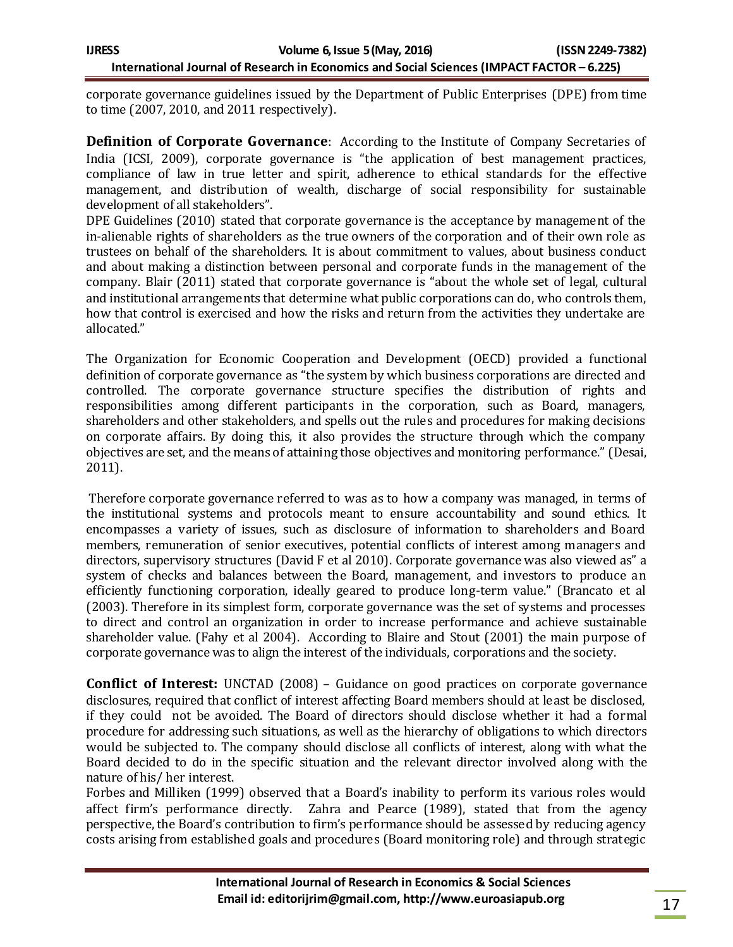corporate governance guidelines issued by the Department of Public Enterprises (DPE) from time to time (2007, 2010, and 2011 respectively).

**Definition of Corporate Governance**: According to the Institute of Company Secretaries of India (ICSI, 2009), corporate governance is "the application of best management practices, compliance of law in true letter and spirit, adherence to ethical standards for the effective management, and distribution of wealth, discharge of social responsibility for sustainable development of all stakeholders".

DPE Guidelines (2010) stated that corporate governance is the acceptance by management of the in-alienable rights of shareholders as the true owners of the corporation and of their own role as trustees on behalf of the shareholders. It is about commitment to values, about business conduct and about making a distinction between personal and corporate funds in the management of the company. Blair (2011) stated that corporate governance is "about the whole set of legal, cultural and institutional arrangements that determine what public corporations can do, who controls them, how that control is exercised and how the risks and return from the activities they undertake are allocated."

The Organization for Economic Cooperation and Development (OECD) provided a functional definition of corporate governance as "the system by which business corporations are directed and controlled. The corporate governance structure specifies the distribution of rights and responsibilities among different participants in the corporation, such as Board, managers, shareholders and other stakeholders, and spells out the rules and procedures for making decisions on corporate affairs. By doing this, it also provides the structure through which the company objectives are set, and the means of attaining those objectives and monitoring performance." (Desai, 2011).

Therefore corporate governance referred to was as to how a company was managed, in terms of the institutional systems and protocols meant to ensure accountability and sound ethics. It encompasses a variety of issues, such as disclosure of information to shareholders and Board members, remuneration of senior executives, potential conflicts of interest among managers and directors, supervisory structures (David F et al 2010). Corporate governance was also viewed as" a system of checks and balances between the Board, management, and investors to produce an efficiently functioning corporation, ideally geared to produce long-term value." (Brancato et al (2003). Therefore in its simplest form, corporate governance was the set of systems and processes to direct and control an organization in order to increase performance and achieve sustainable shareholder value. (Fahy et al 2004). According to Blaire and Stout (2001) the main purpose of corporate governance was to align the interest of the individuals, corporations and the society.

**Conflict of Interest:** UNCTAD (2008) – Guidance on good practices on corporate governance disclosures, required that conflict of interest affecting Board members should at least be disclosed, if they could not be avoided. The Board of directors should disclose whether it had a formal procedure for addressing such situations, as well as the hierarchy of obligations to which directors would be subjected to. The company should disclose all conflicts of interest, along with what the Board decided to do in the specific situation and the relevant director involved along with the nature of his/ her interest.

Forbes and Milliken (1999) observed that a Board's inability to perform its various roles would affect firm's performance directly. Zahra and Pearce (1989), stated that from the agency perspective, the Board's contribution to firm's performance should be assessed by reducing agency costs arising from established goals and procedures (Board monitoring role) and through strategic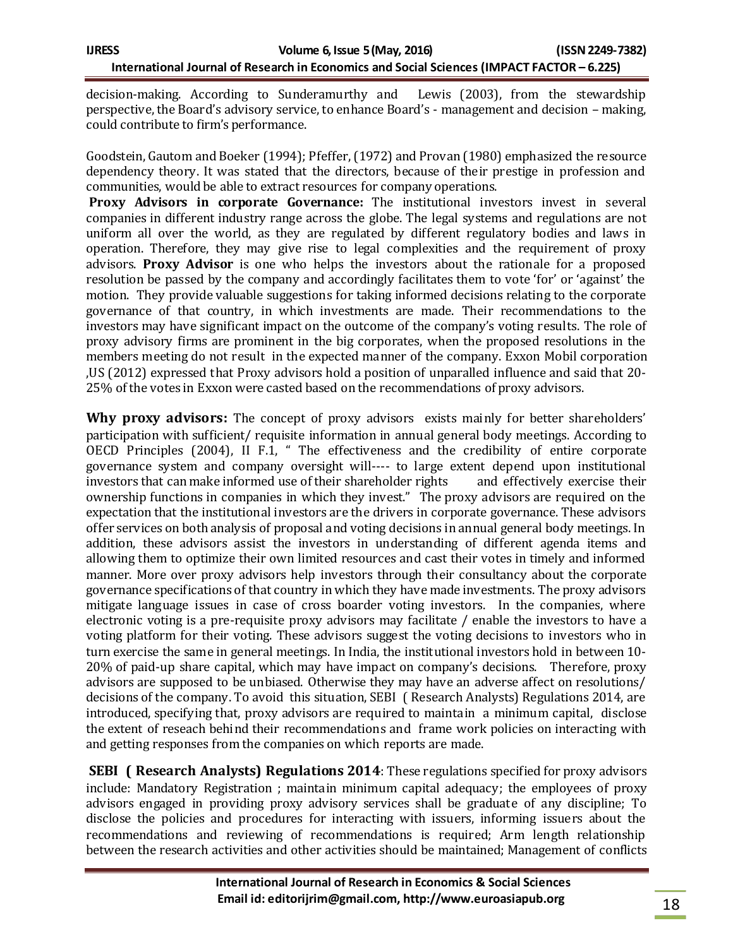decision-making. According to Sunderamurthy and Lewis (2003), from the stewardship perspective, the Board's advisory service, to enhance Board's - management and decision – making, could contribute to firm's performance.

Goodstein, Gautom and Boeker (1994); Pfeffer, (1972) and Provan (1980) emphasized the resource dependency theory. It was stated that the directors, because of their prestige in profession and communities, would be able to extract resources for company operations.

**Proxy Advisors in corporate Governance:** The institutional investors invest in several companies in different industry range across the globe. The legal systems and regulations are not uniform all over the world, as they are regulated by different regulatory bodies and laws in operation. Therefore, they may give rise to legal complexities and the requirement of proxy advisors. **Proxy Advisor** is one who helps the investors about the rationale for a proposed resolution be passed by the company and accordingly facilitates them to vote 'for' or 'against' the motion. They provide valuable suggestions for taking informed decisions relating to the corporate governance of that country, in which investments are made. Their recommendations to the investors may have significant impact on the outcome of the company's voting results. The role of proxy advisory firms are prominent in the big corporates, when the proposed resolutions in the members meeting do not result in the expected manner of the company. Exxon Mobil corporation ,US (2012) expressed that Proxy advisors hold a position of unparalled influence and said that 20- 25% of the votes in Exxon were casted based on the recommendations of proxy advisors.

**Why proxy advisors:** The concept of proxy advisors exists mainly for better shareholders' participation with sufficient/ requisite information in annual general body meetings. According to OECD Principles (2004), II F.1, " The effectiveness and the credibility of entire corporate governance system and company oversight will---- to large extent depend upon institutional investors that can make informed use of their shareholder rights and effectively exercise their ownership functions in companies in which they invest." The proxy advisors are required on the expectation that the institutional investors are the drivers in corporate governance. These advisors offer services on both analysis of proposal and voting decisions in annual general body meetings. In addition, these advisors assist the investors in understanding of different agenda items and allowing them to optimize their own limited resources and cast their votes in timely and informed manner. More over proxy advisors help investors through their consultancy about the corporate governance specifications of that country in which they have made investments. The proxy advisors mitigate language issues in case of cross boarder voting investors. In the companies, where electronic voting is a pre-requisite proxy advisors may facilitate / enable the investors to have a voting platform for their voting. These advisors suggest the voting decisions to investors who in turn exercise the same in general meetings. In India, the institutional investors hold in between 10- 20% of paid-up share capital, which may have impact on company's decisions. Therefore, proxy advisors are supposed to be unbiased. Otherwise they may have an adverse affect on resolutions/ decisions of the company. To avoid this situation, SEBI ( Research Analysts) Regulations 2014, are introduced, specifying that, proxy advisors are required to maintain a minimum capital, disclose the extent of reseach behind their recommendations and frame work policies on interacting with and getting responses from the companies on which reports are made.

**SEBI ( Research Analysts) Regulations 2014**: These regulations specified for proxy advisors include: Mandatory Registration ; maintain minimum capital adequacy; the employees of proxy advisors engaged in providing proxy advisory services shall be graduate of any discipline; To disclose the policies and procedures for interacting with issuers, informing issuers about the recommendations and reviewing of recommendations is required; Arm length relationship between the research activities and other activities should be maintained; Management of conflicts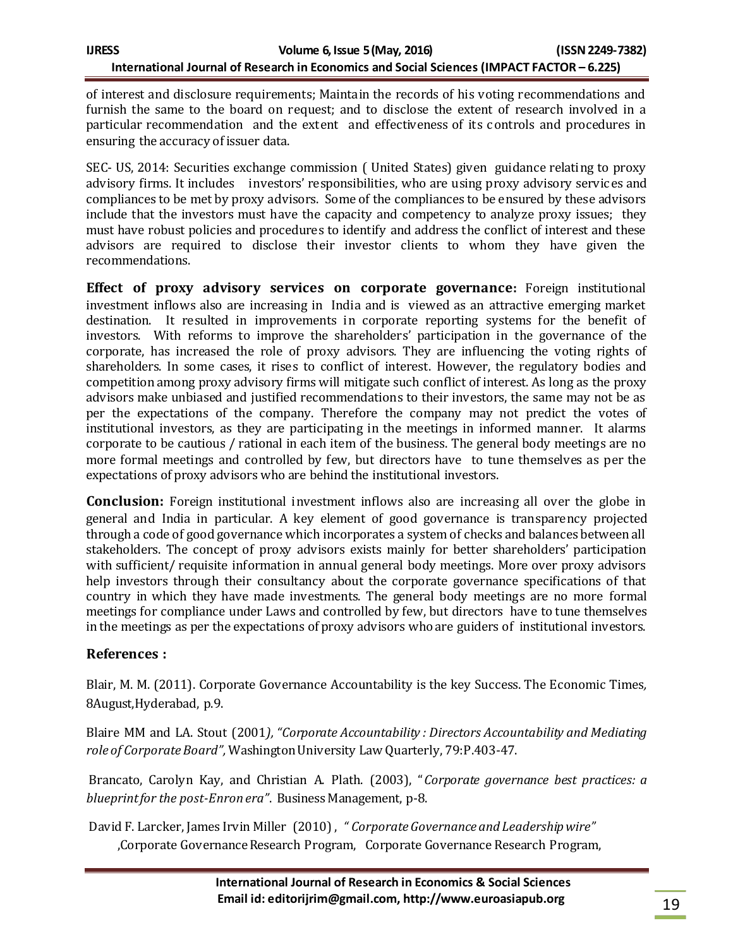of interest and disclosure requirements; Maintain the records of his voting recommendations and furnish the same to the board on request; and to disclose the extent of research involved in a particular recommendation and the extent and effectiveness of its controls and procedures in ensuring the accuracy of issuer data.

SEC- US, 2014: Securities exchange commission ( United States) given guidance relating to proxy advisory firms. It includes investors' responsibilities, who are using proxy advisory services and compliances to be met by proxy advisors. Some of the compliances to be ensured by these advisors include that the investors must have the capacity and competency to analyze proxy issues; they must have robust policies and procedures to identify and address the conflict of interest and these advisors are required to disclose their investor clients to whom they have given the recommendations.

**Effect of proxy advisory services on corporate governance:** Foreign institutional investment inflows also are increasing in India and is viewed as an attractive emerging market destination. It resulted in improvements in corporate reporting systems for the benefit of investors. With reforms to improve the shareholders' participation in the governance of the corporate, has increased the role of proxy advisors. They are influencing the voting rights of shareholders. In some cases, it rises to conflict of interest. However, the regulatory bodies and competition among proxy advisory firms will mitigate such conflict of interest. As long as the proxy advisors make unbiased and justified recommendations to their investors, the same may not be as per the expectations of the company. Therefore the company may not predict the votes of institutional investors, as they are participating in the meetings in informed manner. It alarms corporate to be cautious / rational in each item of the business. The general body meetings are no more formal meetings and controlled by few, but directors have to tune themselves as per the expectations of proxy advisors who are behind the institutional investors.

**Conclusion:** Foreign institutional investment inflows also are increasing all over the globe in general and India in particular. A key element of good governance is transparency projected through a code of good governance which incorporates a system of checks and balances between all stakeholders. The concept of proxy advisors exists mainly for better shareholders' participation with sufficient/ requisite information in annual general body meetings. More over proxy advisors help investors through their consultancy about the corporate governance specifications of that country in which they have made investments. The general body meetings are no more formal meetings for compliance under Laws and controlled by few, but directors have to tune themselves in the meetings as per the expectations of proxy advisors who are guiders of institutional investors.

## **References :**

Blair, M. M. (2011). Corporate Governance Accountability is the key Success. The Economic Times*,*  8August,Hyderabad, p.9.

Blaire MM and LA. Stout (2001*), "Corporate Accountability : Directors Accountability and Mediating role of Corporate Board",* Washington University Law Quarterly, 79:P.403-47.

Brancato, Carolyn Kay, and Christian A. Plath. (2003), "*Corporate governance best practices: a blueprint for the post-Enron era"*. Business Management, p-8.

David F. Larcker, James Irvin Miller (2010) , *" Corporate Governance and Leadership wire"* ,Corporate Governance Research Program, Corporate Governance Research Program,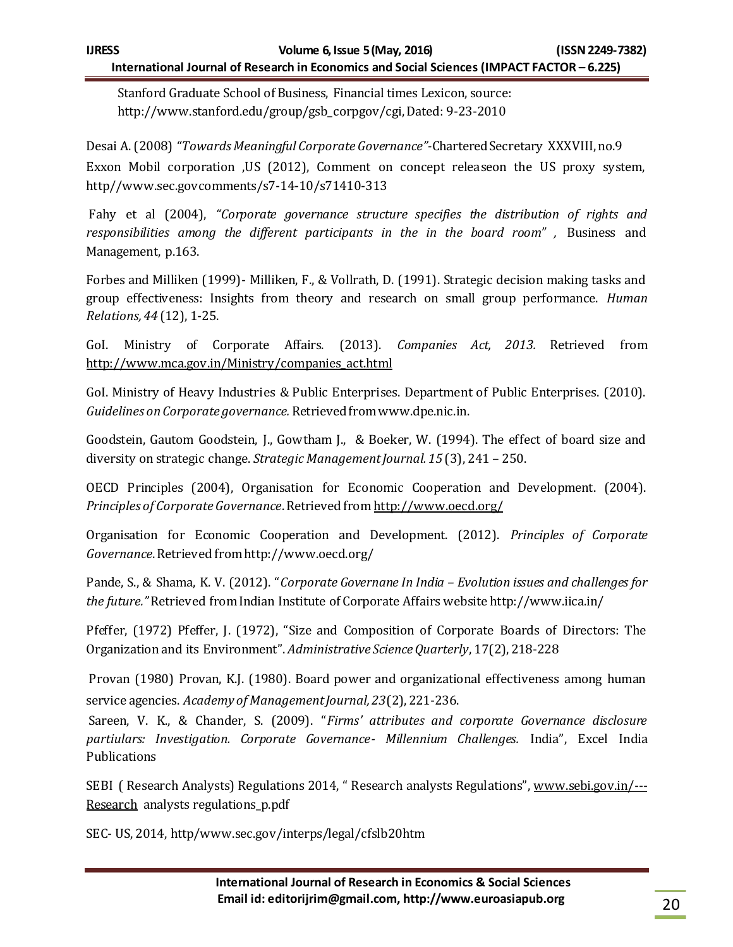Stanford Graduate School of Business, Financial times Lexicon, source: http://www.stanford.edu/group/gsb\_corpgov/cgi, Dated: 9-23-2010

Desai A. (2008) *"Towards Meaningful Corporate Governance"-*Chartered Secretary XXXVIII, no.9 Exxon Mobil corporation ,US (2012), Comment on concept releaseon the US proxy system, http//www.sec.govcomments/s7-14-10/s71410-313

Fahy et al (2004), *"Corporate governance structure specifies the distribution of rights and responsibilities among the different participants in the in the board room" ,* [Business and](http://www.termpaperwarehouse.com/class/Business-And-Management/4/0)  [Management,](http://www.termpaperwarehouse.com/class/Business-And-Management/4/0) p.163.

Forbes and Milliken (1999)- Milliken, F., & Vollrath, D. (1991). Strategic decision making tasks and group effectiveness: Insights from theory and research on small group performance. *Human Relations, 44* (12), 1-25.

GoI. Ministry of Corporate Affairs. (2013). *Companies Act, 2013.* Retrieved from [http://www.mca.gov.in/Ministry/companies\\_act.html](http://www.mca.gov.in/Ministry/companies_act.html)

GoI. Ministry of Heavy Industries & Public Enterprises. Department of Public Enterprises. (2010). *Guidelines on Corporate governance.* Retrieved from www.dpe.nic.in.

Goodstein, Gautom Goodstein, J., Gowtham J., & Boeker, W. (1994). The effect of board size and diversity on strategic change. *Strategic Management Journal. 15* (3), 241 – 250.

OECD Principles (2004), Organisation for Economic Cooperation and Development. (2004). *Principles of Corporate Governance*. Retrieved fro[m http://www.oecd.org/](http://www.oecd.org/)

Organisation for Economic Cooperation and Development. (2012). *Principles of Corporate Governance*. Retrieved from http://www.oecd.org/

Pande, S., & Shama, K. V. (2012). "*Corporate Governane In India – Evolution issues and challenges for the future."* Retrieved from Indian Institute of Corporate Affairs website http://www.iica.in/

Pfeffer, (1972) Pfeffer, J. (1972), "Size and Composition of Corporate Boards of Directors: The Organization and its Environment". *Administrative Science Quarterly*, 17(2), 218-228

Provan (1980) Provan, K.J. (1980). Board power and organizational effectiveness among human service agencies. *Academy of Management Journal, 23*(2), 221-236.

Sareen, V. K., & Chander, S. (2009). "*Firms' attributes and corporate Governance disclosure partiulars: Investigation. Corporate Governance- Millennium Challenges.* India", Excel India Publications

SEBI ( Research Analysts) Regulations 2014, " Research analysts Regulations", [www.sebi.gov.in/---](http://www.sebi.gov.in/---Research) [Research](http://www.sebi.gov.in/---Research) analysts regulations\_p.pdf

SEC- US, 2014, http/www.sec.gov/interps/legal/cfslb20htm